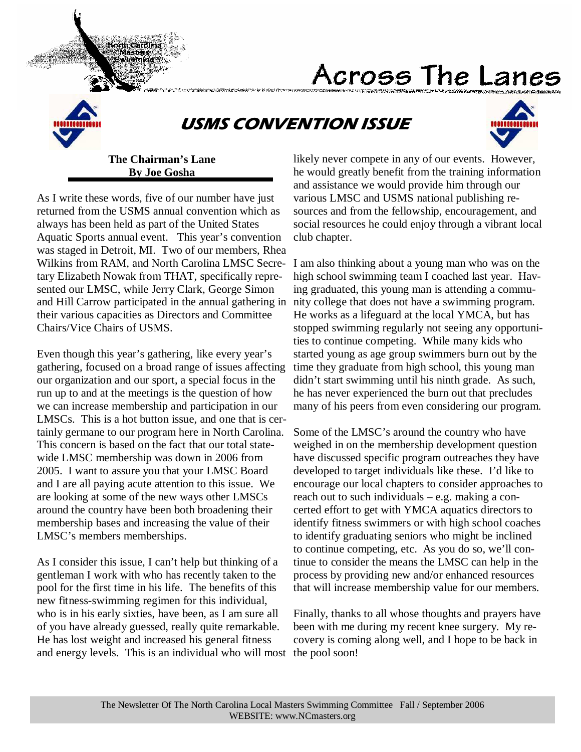# Across The Lanes



# USMS CONVENTION ISSUE



### **The Chairman's Lane By Joe Gosha**

North Carolina Masters Swimming

As I write these words, five of our number have just returned from the USMS annual convention which as always has been held as part of the United States Aquatic Sports annual event. This year's convention was staged in Detroit, MI. Two of our members, Rhea Wilkins from RAM, and North Carolina LMSC Secretary Elizabeth Nowak from THAT, specifically represented our LMSC, while Jerry Clark, George Simon and Hill Carrow participated in the annual gathering in their various capacities as Directors and Committee Chairs/Vice Chairs of USMS.

Even though this year's gathering, like every year's gathering, focused on a broad range of issues affecting our organization and our sport, a special focus in the run up to and at the meetings is the question of how we can increase membership and participation in our LMSCs. This is a hot button issue, and one that is certainly germane to our program here in North Carolina. This concern is based on the fact that our total statewide LMSC membership was down in 2006 from 2005. I want to assure you that your LMSC Board and I are all paying acute attention to this issue. We are looking at some of the new ways other LMSCs around the country have been both broadening their membership bases and increasing the value of their LMSC's members memberships.

As I consider this issue, I can't help but thinking of a gentleman I work with who has recently taken to the pool for the first time in his life. The benefits of this new fitness-swimming regimen for this individual, who is in his early sixties, have been, as I am sure all of you have already guessed, really quite remarkable. He has lost weight and increased his general fitness and energy levels. This is an individual who will most the pool soon!

likely never compete in any of our events. However, he would greatly benefit from the training information and assistance we would provide him through our various LMSC and USMS national publishing resources and from the fellowship, encouragement, and social resources he could enjoy through a vibrant local club chapter.

I am also thinking about a young man who was on the high school swimming team I coached last year. Having graduated, this young man is attending a community college that does not have a swimming program. He works as a lifeguard at the local YMCA, but has stopped swimming regularly not seeing any opportunities to continue competing. While many kids who started young as age group swimmers burn out by the time they graduate from high school, this young man didn't start swimming until his ninth grade. As such, he has never experienced the burn out that precludes many of his peers from even considering our program.

Some of the LMSC's around the country who have weighed in on the membership development question have discussed specific program outreaches they have developed to target individuals like these. I'd like to encourage our local chapters to consider approaches to reach out to such individuals – e.g. making a concerted effort to get with YMCA aquatics directors to identify fitness swimmers or with high school coaches to identify graduating seniors who might be inclined to continue competing, etc. As you do so, we'll continue to consider the means the LMSC can help in the process by providing new and/or enhanced resources that will increase membership value for our members.

Finally, thanks to all whose thoughts and prayers have been with me during my recent knee surgery. My recovery is coming along well, and I hope to be back in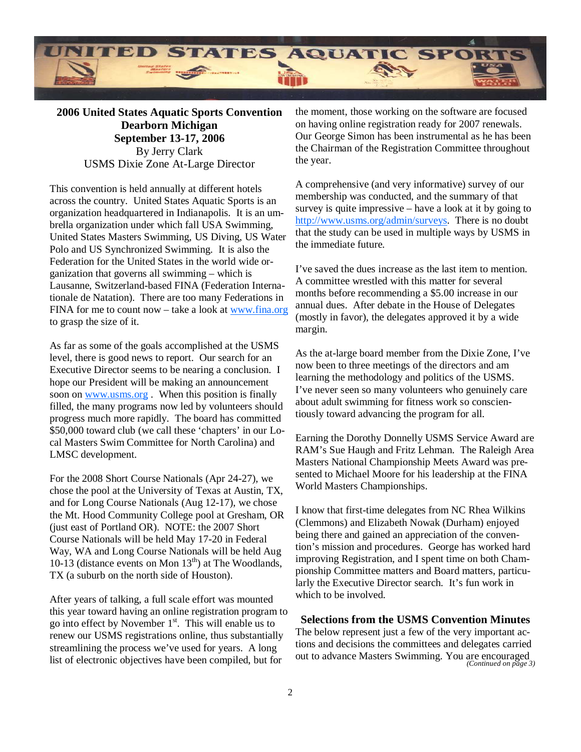

**2006 United States Aquatic Sports Convention Dearborn Michigan September 13-17, 2006**  By Jerry Clark USMS Dixie Zone At-Large Director

This convention is held annually at different hotels across the country. United States Aquatic Sports is an organization headquartered in Indianapolis. It is an umbrella organization under which fall USA Swimming, United States Masters Swimming, US Diving, US Water Polo and US Synchronized Swimming. It is also the Federation for the United States in the world wide organization that governs all swimming – which is Lausanne, Switzerland-based FINA (Federation Internationale de Natation). There are too many Federations in FINA for me to count now – take a look at www.fina.org to grasp the size of it.

As far as some of the goals accomplished at the USMS level, there is good news to report. Our search for an Executive Director seems to be nearing a conclusion. I hope our President will be making an announcement soon on www.usms.org . When this position is finally filled, the many programs now led by volunteers should progress much more rapidly. The board has committed \$50,000 toward club (we call these 'chapters' in our Local Masters Swim Committee for North Carolina) and LMSC development.

For the 2008 Short Course Nationals (Apr 24-27), we chose the pool at the University of Texas at Austin, TX, and for Long Course Nationals (Aug 12-17), we chose the Mt. Hood Community College pool at Gresham, OR (just east of Portland OR). NOTE: the 2007 Short Course Nationals will be held May 17-20 in Federal Way, WA and Long Course Nationals will be held Aug 10-13 (distance events on Mon  $13<sup>th</sup>$ ) at The Woodlands, TX (a suburb on the north side of Houston).

After years of talking, a full scale effort was mounted this year toward having an online registration program to go into effect by November  $1<sup>st</sup>$ . This will enable us to renew our USMS registrations online, thus substantially streamlining the process we've used for years. A long list of electronic objectives have been compiled, but for

the moment, those working on the software are focused on having online registration ready for 2007 renewals. Our George Simon has been instrumental as he has been the Chairman of the Registration Committee throughout the year.

A comprehensive (and very informative) survey of our membership was conducted, and the summary of that survey is quite impressive – have a look at it by going to http://www.usms.org/admin/surveys. There is no doubt that the study can be used in multiple ways by USMS in the immediate future.

I've saved the dues increase as the last item to mention. A committee wrestled with this matter for several months before recommending a \$5.00 increase in our annual dues. After debate in the House of Delegates (mostly in favor), the delegates approved it by a wide margin.

As the at-large board member from the Dixie Zone, I've now been to three meetings of the directors and am learning the methodology and politics of the USMS. I've never seen so many volunteers who genuinely care about adult swimming for fitness work so conscientiously toward advancing the program for all.

Earning the Dorothy Donnelly USMS Service Award are RAM's Sue Haugh and Fritz Lehman. The Raleigh Area Masters National Championship Meets Award was presented to Michael Moore for his leadership at the FINA World Masters Championships.

I know that first-time delegates from NC Rhea Wilkins (Clemmons) and Elizabeth Nowak (Durham) enjoyed being there and gained an appreciation of the convention's mission and procedures. George has worked hard improving Registration, and I spent time on both Championship Committee matters and Board matters, particularly the Executive Director search. It's fun work in which to be involved.

**Selections from the USMS Convention Minutes**  The below represent just a few of the very important actions and decisions the committees and delegates carried out to advance Masters Swimming. You are encouraged *(Continued on page 3)*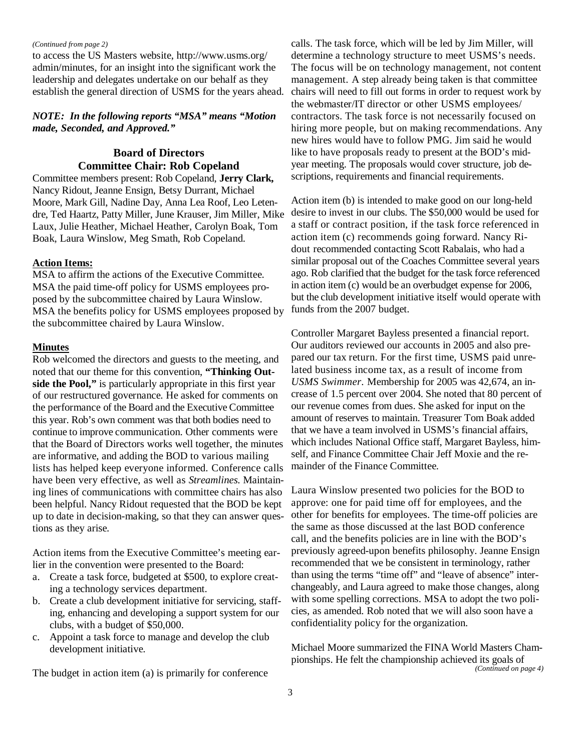#### *(Continued from page 2)*

to access the US Masters website, http://www.usms.org/ admin/minutes, for an insight into the significant work the leadership and delegates undertake on our behalf as they establish the general direction of USMS for the years ahead.

#### *NOTE: In the following reports "MSA" means "Motion made, Seconded, and Approved."*

#### **Board of Directors Committee Chair: Rob Copeland**

Committee members present: Rob Copeland, **Jerry Clark,**  Nancy Ridout, Jeanne Ensign, Betsy Durrant, Michael Moore, Mark Gill, Nadine Day, Anna Lea Roof, Leo Letendre, Ted Haartz, Patty Miller, June Krauser, Jim Miller, Mike Laux, Julie Heather, Michael Heather, Carolyn Boak, Tom Boak, Laura Winslow, Meg Smath, Rob Copeland.

#### **Action Items:**

MSA to affirm the actions of the Executive Committee. MSA the paid time-off policy for USMS employees proposed by the subcommittee chaired by Laura Winslow. MSA the benefits policy for USMS employees proposed by the subcommittee chaired by Laura Winslow.

#### **Minutes**

Rob welcomed the directors and guests to the meeting, and noted that our theme for this convention, **"Thinking Outside the Pool,"** is particularly appropriate in this first year of our restructured governance. He asked for comments on the performance of the Board and the Executive Committee this year. Rob's own comment was that both bodies need to continue to improve communication. Other comments were that the Board of Directors works well together, the minutes are informative, and adding the BOD to various mailing lists has helped keep everyone informed. Conference calls have been very effective, as well as *Streamlines.* Maintaining lines of communications with committee chairs has also been helpful. Nancy Ridout requested that the BOD be kept up to date in decision-making, so that they can answer questions as they arise.

Action items from the Executive Committee's meeting earlier in the convention were presented to the Board:

- a. Create a task force, budgeted at \$500, to explore creating a technology services department.
- b. Create a club development initiative for servicing, staffing, enhancing and developing a support system for our clubs, with a budget of \$50,000.
- c. Appoint a task force to manage and develop the club development initiative.

The budget in action item (a) is primarily for conference

calls. The task force, which will be led by Jim Miller, will determine a technology structure to meet USMS's needs. The focus will be on technology management, not content management. A step already being taken is that committee chairs will need to fill out forms in order to request work by the webmaster/IT director or other USMS employees/ contractors. The task force is not necessarily focused on hiring more people, but on making recommendations. Any new hires would have to follow PMG. Jim said he would like to have proposals ready to present at the BOD's midyear meeting. The proposals would cover structure, job descriptions, requirements and financial requirements.

Action item (b) is intended to make good on our long-held desire to invest in our clubs. The \$50,000 would be used for a staff or contract position, if the task force referenced in action item (c) recommends going forward. Nancy Ridout recommended contacting Scott Rabalais, who had a similar proposal out of the Coaches Committee several years ago. Rob clarified that the budget for the task force referenced in action item (c) would be an overbudget expense for 2006, but the club development initiative itself would operate with funds from the 2007 budget.

Controller Margaret Bayless presented a financial report. Our auditors reviewed our accounts in 2005 and also prepared our tax return. For the first time, USMS paid unrelated business income tax, as a result of income from *USMS Swimmer.* Membership for 2005 was 42,674, an increase of 1.5 percent over 2004. She noted that 80 percent of our revenue comes from dues. She asked for input on the amount of reserves to maintain. Treasurer Tom Boak added that we have a team involved in USMS's financial affairs, which includes National Office staff, Margaret Bayless, himself, and Finance Committee Chair Jeff Moxie and the remainder of the Finance Committee.

Laura Winslow presented two policies for the BOD to approve: one for paid time off for employees, and the other for benefits for employees. The time-off policies are the same as those discussed at the last BOD conference call, and the benefits policies are in line with the BOD's previously agreed-upon benefits philosophy. Jeanne Ensign recommended that we be consistent in terminology, rather than using the terms "time off" and "leave of absence" interchangeably, and Laura agreed to make those changes, along with some spelling corrections. MSA to adopt the two policies, as amended. Rob noted that we will also soon have a confidentiality policy for the organization.

Michael Moore summarized the FINA World Masters Championships. He felt the championship achieved its goals of *(Continued on page 4)*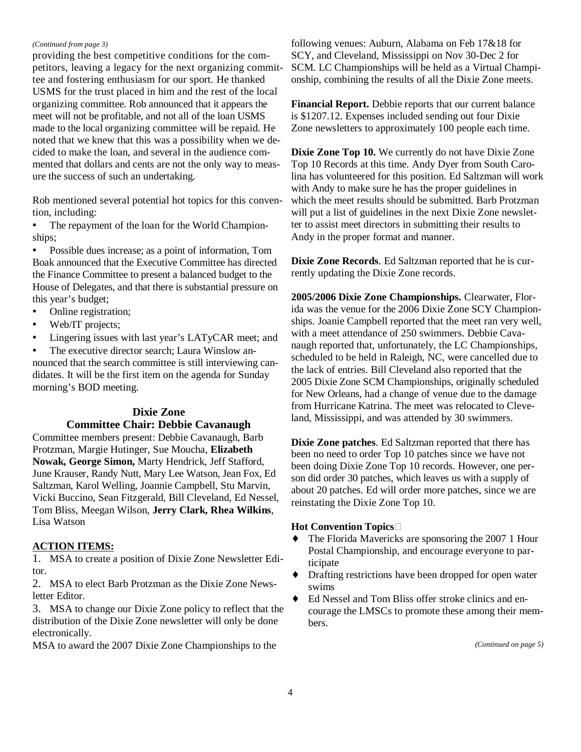#### *(Continued from page 3)*

providing the best competitive conditions for the competitors, leaving a legacy for the next organizing committee and fostering enthusiasm for our sport. He thanked USMS for the trust placed in him and the rest of the local organizing committee. Rob announced that it appears the meet will not be profitable, and not all of the loan USMS made to the local organizing committee will be repaid. He noted that we knew that this was a possibility when we decided to make the loan, and several in the audience commented that dollars and cents are not the only way to measure the success of such an undertaking.

Rob mentioned several potential hot topics for this convention, including:

The repayment of the loan for the World Championships;

▪ Possible dues increase; as a point of information, Tom Boak announced that the Executive Committee has directed the Finance Committee to present a balanced budget to the House of Delegates, and that there is substantial pressure on this year's budget;

- Online registration;
- Web/IT projects;
- **•** Lingering issues with last year's LATyCAR meet; and

▪ The executive director search; Laura Winslow announced that the search committee is still interviewing candidates. It will be the first item on the agenda for Sunday morning's BOD meeting.

#### **Dixie Zone**

#### **Committee Chair: Debbie Cavanaugh**

Committee members present: Debbie Cavanaugh, Barb Protzman, Margie Hutinger, Sue Moucha, **Elizabeth Nowak, George Simon,** Marty Hendrick, Jeff Stafford, June Krauser, Randy Nutt, Mary Lee Watson, Jean Fox, Ed Saltzman, Karol Welling, Joannie Campbell, Stu Marvin, Vicki Buccino, Sean Fitzgerald, Bill Cleveland, Ed Nessel, Tom Bliss, Meegan Wilson, **Jerry Clark, Rhea Wilkins**, Lisa Watson

#### **ACTION ITEMS:**

1. MSA to create a position of Dixie Zone Newsletter Editor.

2. MSA to elect Barb Protzman as the Dixie Zone Newsletter Editor.

3. MSA to change our Dixie Zone policy to reflect that the distribution of the Dixie Zone newsletter will only be done electronically.

MSA to award the 2007 Dixie Zone Championships to the

following venues: Auburn, Alabama on Feb 17&18 for SCY, and Cleveland, Mississippi on Nov 30-Dec 2 for SCM. LC Championships will be held as a Virtual Championship, combining the results of all the Dixie Zone meets.

**Financial Report.** Debbie reports that our current balance is \$1207.12. Expenses included sending out four Dixie Zone newsletters to approximately 100 people each time.

**Dixie Zone Top 10.** We currently do not have Dixie Zone Top 10 Records at this time. Andy Dyer from South Carolina has volunteered for this position. Ed Saltzman will work with Andy to make sure he has the proper guidelines in which the meet results should be submitted. Barb Protzman will put a list of guidelines in the next Dixie Zone newsletter to assist meet directors in submitting their results to Andy in the proper format and manner.

**Dixie Zone Records**. Ed Saltzman reported that he is currently updating the Dixie Zone records.

**2005/2006 Dixie Zone Championships.** Clearwater, Florida was the venue for the 2006 Dixie Zone SCY Championships. Joanie Campbell reported that the meet ran very well, with a meet attendance of 250 swimmers. Debbie Cavanaugh reported that, unfortunately, the LC Championships, scheduled to be held in Raleigh, NC, were cancelled due to the lack of entries. Bill Cleveland also reported that the 2005 Dixie Zone SCM Championships, originally scheduled for New Orleans, had a change of venue due to the damage from Hurricane Katrina. The meet was relocated to Cleveland, Mississippi, and was attended by 30 swimmers.

**Dixie Zone patches**. Ed Saltzman reported that there has been no need to order Top 10 patches since we have not been doing Dixie Zone Top 10 records. However, one person did order 30 patches, which leaves us with a supply of about 20 patches. Ed will order more patches, since we are reinstating the Dixie Zone Top 10.

#### **Hot Convention Topics**

- The Florida Mavericks are sponsoring the 2007 1 Hour Postal Championship, and encourage everyone to participate
- ♦ Drafting restrictions have been dropped for open water swims
- Ed Nessel and Tom Bliss offer stroke clinics and encourage the LMSCs to promote these among their members.

*(Continued on page 5)*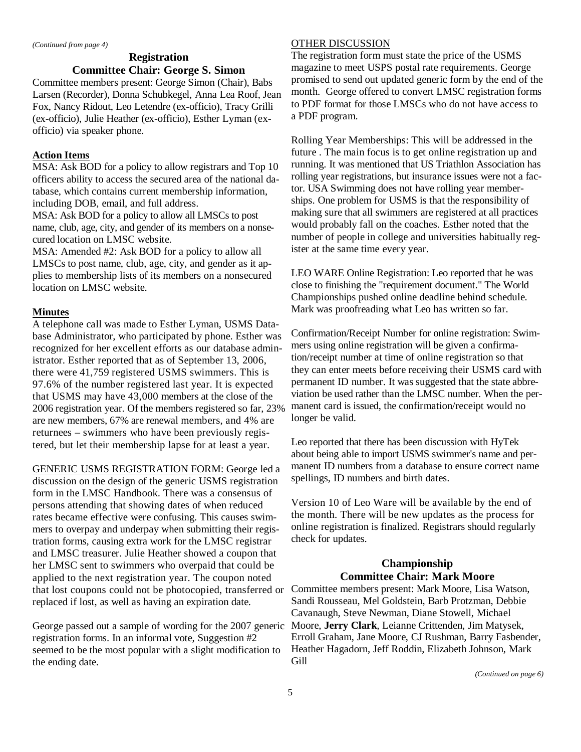# **Registration Committee Chair: George S. Simon**

Committee members present: George Simon (Chair), Babs Larsen (Recorder), Donna Schubkegel, Anna Lea Roof, Jean Fox, Nancy Ridout, Leo Letendre (ex-officio), Tracy Grilli (ex-officio), Julie Heather (ex-officio), Esther Lyman (exofficio) via speaker phone.

#### **Action Items**

MSA: Ask BOD for a policy to allow registrars and Top 10 officers ability to access the secured area of the national database, which contains current membership information, including DOB, email, and full address.

MSA: Ask BOD for a policy to allow all LMSCs to post name, club, age, city, and gender of its members on a nonsecured location on LMSC website.

MSA: Amended #2: Ask BOD for a policy to allow all LMSCs to post name, club, age, city, and gender as it applies to membership lists of its members on a nonsecured location on LMSC website.

#### **Minutes**

A telephone call was made to Esther Lyman, USMS Database Administrator, who participated by phone. Esther was recognized for her excellent efforts as our database administrator. Esther reported that as of September 13, 2006, there were 41,759 registered USMS swimmers. This is 97.6% of the number registered last year. It is expected that USMS may have 43,000 members at the close of the 2006 registration year. Of the members registered so far, 23% are new members, 67% are renewal members, and 4% are returnees – swimmers who have been previously registered, but let their membership lapse for at least a year.

GENERIC USMS REGISTRATION FORM: George led a discussion on the design of the generic USMS registration form in the LMSC Handbook. There was a consensus of persons attending that showing dates of when reduced rates became effective were confusing. This causes swimmers to overpay and underpay when submitting their registration forms, causing extra work for the LMSC registrar and LMSC treasurer. Julie Heather showed a coupon that her LMSC sent to swimmers who overpaid that could be applied to the next registration year. The coupon noted that lost coupons could not be photocopied, transferred or Committee members present: Mark Moore, Lisa Watson, replaced if lost, as well as having an expiration date.

George passed out a sample of wording for the 2007 generic registration forms. In an informal vote, Suggestion #2 seemed to be the most popular with a slight modification to the ending date.

#### OTHER DISCUSSION

The registration form must state the price of the USMS magazine to meet USPS postal rate requirements. George promised to send out updated generic form by the end of the month. George offered to convert LMSC registration forms to PDF format for those LMSCs who do not have access to a PDF program.

Rolling Year Memberships: This will be addressed in the future . The main focus is to get online registration up and running. It was mentioned that US Triathlon Association has rolling year registrations, but insurance issues were not a factor. USA Swimming does not have rolling year memberships. One problem for USMS is that the responsibility of making sure that all swimmers are registered at all practices would probably fall on the coaches. Esther noted that the number of people in college and universities habitually register at the same time every year.

LEO WARE Online Registration: Leo reported that he was close to finishing the "requirement document." The World Championships pushed online deadline behind schedule. Mark was proofreading what Leo has written so far.

Confirmation/Receipt Number for online registration: Swimmers using online registration will be given a confirmation/receipt number at time of online registration so that they can enter meets before receiving their USMS card with permanent ID number. It was suggested that the state abbreviation be used rather than the LMSC number. When the permanent card is issued, the confirmation/receipt would no longer be valid.

Leo reported that there has been discussion with HyTek about being able to import USMS swimmer's name and permanent ID numbers from a database to ensure correct name spellings, ID numbers and birth dates.

Version 10 of Leo Ware will be available by the end of the month. There will be new updates as the process for online registration is finalized. Registrars should regularly check for updates.

### **Championship Committee Chair: Mark Moore**

Sandi Rousseau, Mel Goldstein, Barb Protzman, Debbie Cavanaugh, Steve Newman, Diane Stowell, Michael Moore, **Jerry Clark**, Leianne Crittenden, Jim Matysek, Erroll Graham, Jane Moore, CJ Rushman, Barry Fasbender, Heather Hagadorn, Jeff Roddin, Elizabeth Johnson, Mark Gill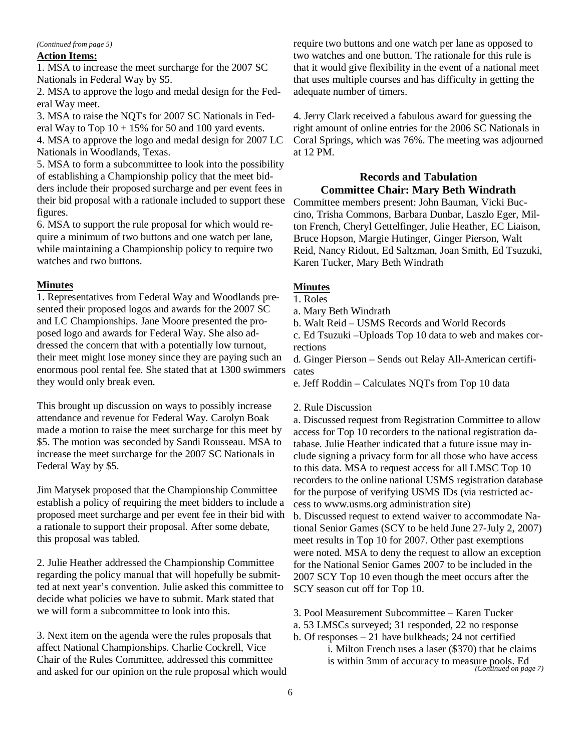#### *(Continued from page 5)*

#### **Action Items:**

1. MSA to increase the meet surcharge for the 2007 SC Nationals in Federal Way by \$5.

2. MSA to approve the logo and medal design for the Federal Way meet.

3. MSA to raise the NQTs for 2007 SC Nationals in Federal Way to Top  $10 + 15\%$  for 50 and 100 yard events.

4. MSA to approve the logo and medal design for 2007 LC Nationals in Woodlands, Texas.

5. MSA to form a subcommittee to look into the possibility of establishing a Championship policy that the meet bidders include their proposed surcharge and per event fees in their bid proposal with a rationale included to support these figures.

6. MSA to support the rule proposal for which would require a minimum of two buttons and one watch per lane, while maintaining a Championship policy to require two watches and two buttons.

#### **Minutes**

1. Representatives from Federal Way and Woodlands presented their proposed logos and awards for the 2007 SC and LC Championships. Jane Moore presented the proposed logo and awards for Federal Way. She also addressed the concern that with a potentially low turnout, their meet might lose money since they are paying such an enormous pool rental fee. She stated that at 1300 swimmers they would only break even.

This brought up discussion on ways to possibly increase attendance and revenue for Federal Way. Carolyn Boak made a motion to raise the meet surcharge for this meet by \$5. The motion was seconded by Sandi Rousseau. MSA to increase the meet surcharge for the 2007 SC Nationals in Federal Way by \$5.

Jim Matysek proposed that the Championship Committee establish a policy of requiring the meet bidders to include a proposed meet surcharge and per event fee in their bid with a rationale to support their proposal. After some debate, this proposal was tabled.

2. Julie Heather addressed the Championship Committee regarding the policy manual that will hopefully be submitted at next year's convention. Julie asked this committee to decide what policies we have to submit. Mark stated that we will form a subcommittee to look into this.

3. Next item on the agenda were the rules proposals that affect National Championships. Charlie Cockrell, Vice Chair of the Rules Committee, addressed this committee and asked for our opinion on the rule proposal which would

require two buttons and one watch per lane as opposed to two watches and one button. The rationale for this rule is that it would give flexibility in the event of a national meet that uses multiple courses and has difficulty in getting the adequate number of timers.

4. Jerry Clark received a fabulous award for guessing the right amount of online entries for the 2006 SC Nationals in Coral Springs, which was 76%. The meeting was adjourned at 12 PM.

#### **Records and Tabulation Committee Chair: Mary Beth Windrath**

Committee members present: John Bauman, Vicki Buccino, Trisha Commons, Barbara Dunbar, Laszlo Eger, Milton French, Cheryl Gettelfinger, Julie Heather, EC Liaison, Bruce Hopson, Margie Hutinger, Ginger Pierson, Walt Reid, Nancy Ridout, Ed Saltzman, Joan Smith, Ed Tsuzuki, Karen Tucker, Mary Beth Windrath

#### **Minutes**

- 1. Roles
- a. Mary Beth Windrath
- b. Walt Reid USMS Records and World Records

c. Ed Tsuzuki –Uploads Top 10 data to web and makes corrections

d. Ginger Pierson – Sends out Relay All-American certificates

e. Jeff Roddin – Calculates NQTs from Top 10 data

#### 2. Rule Discussion

a. Discussed request from Registration Committee to allow access for Top 10 recorders to the national registration database. Julie Heather indicated that a future issue may include signing a privacy form for all those who have access to this data. MSA to request access for all LMSC Top 10 recorders to the online national USMS registration database for the purpose of verifying USMS IDs (via restricted access to www.usms.org administration site)

b. Discussed request to extend waiver to accommodate National Senior Games (SCY to be held June 27-July 2, 2007) meet results in Top 10 for 2007. Other past exemptions were noted. MSA to deny the request to allow an exception for the National Senior Games 2007 to be included in the 2007 SCY Top 10 even though the meet occurs after the SCY season cut off for Top 10.

- 3. Pool Measurement Subcommittee Karen Tucker
- a. 53 LMSCs surveyed; 31 responded, 22 no response
- b. Of responses 21 have bulkheads; 24 not certified i. Milton French uses a laser (\$370) that he claims is within 3mm of accuracy to measure pools. Ed *(Continued on page 7)*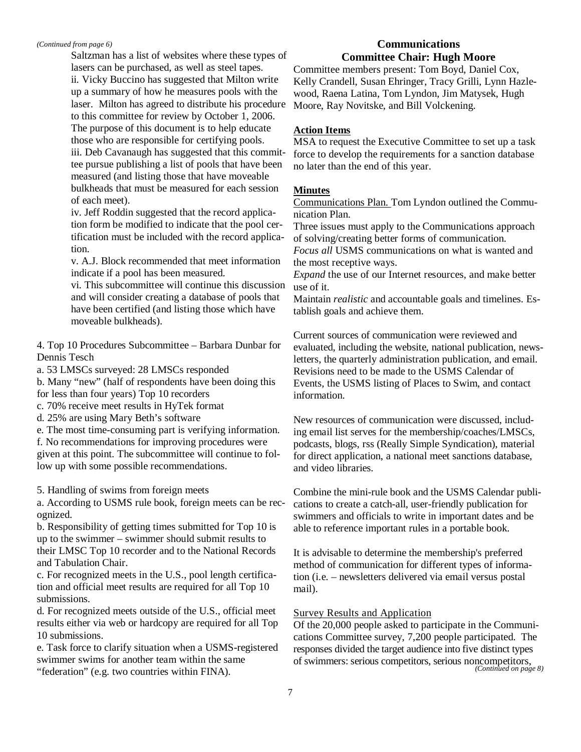*(Continued from page 6)* 

Saltzman has a list of websites where these types of lasers can be purchased, as well as steel tapes. ii. Vicky Buccino has suggested that Milton write up a summary of how he measures pools with the laser. Milton has agreed to distribute his procedure to this committee for review by October 1, 2006. The purpose of this document is to help educate those who are responsible for certifying pools. iii. Deb Cavanaugh has suggested that this committee pursue publishing a list of pools that have been measured (and listing those that have moveable bulkheads that must be measured for each session of each meet).

iv. Jeff Roddin suggested that the record application form be modified to indicate that the pool certification must be included with the record application.

v. A.J. Block recommended that meet information indicate if a pool has been measured.

vi. This subcommittee will continue this discussion and will consider creating a database of pools that have been certified (and listing those which have moveable bulkheads).

4. Top 10 Procedures Subcommittee – Barbara Dunbar for Dennis Tesch

a. 53 LMSCs surveyed: 28 LMSCs responded

b. Many "new" (half of respondents have been doing this for less than four years) Top 10 recorders

- c. 70% receive meet results in HyTek format
- d. 25% are using Mary Beth's software

e. The most time-consuming part is verifying information. f. No recommendations for improving procedures were given at this point. The subcommittee will continue to follow up with some possible recommendations.

5. Handling of swims from foreign meets

a. According to USMS rule book, foreign meets can be recognized.

b. Responsibility of getting times submitted for Top 10 is up to the swimmer – swimmer should submit results to their LMSC Top 10 recorder and to the National Records and Tabulation Chair.

c. For recognized meets in the U.S., pool length certification and official meet results are required for all Top 10 submissions.

d. For recognized meets outside of the U.S., official meet results either via web or hardcopy are required for all Top 10 submissions.

e. Task force to clarify situation when a USMS-registered swimmer swims for another team within the same "federation" (e.g. two countries within FINA).

#### **Communications Committee Chair: Hugh Moore**

Committee members present: Tom Boyd, Daniel Cox, Kelly Crandell, Susan Ehringer, Tracy Grilli, Lynn Hazlewood, Raena Latina, Tom Lyndon, Jim Matysek, Hugh Moore, Ray Novitske, and Bill Volckening.

#### **Action Items**

MSA to request the Executive Committee to set up a task force to develop the requirements for a sanction database no later than the end of this year.

#### **Minutes**

Communications Plan. Tom Lyndon outlined the Communication Plan.

Three issues must apply to the Communications approach of solving/creating better forms of communication.

*Focus all* USMS communications on what is wanted and the most receptive ways.

*Expand* the use of our Internet resources, and make better use of it.

Maintain *realistic* and accountable goals and timelines. Establish goals and achieve them.

Current sources of communication were reviewed and evaluated, including the website, national publication, newsletters, the quarterly administration publication, and email. Revisions need to be made to the USMS Calendar of Events, the USMS listing of Places to Swim, and contact information.

New resources of communication were discussed, including email list serves for the membership/coaches/LMSCs, podcasts, blogs, rss (Really Simple Syndication), material for direct application, a national meet sanctions database, and video libraries.

Combine the mini-rule book and the USMS Calendar publications to create a catch-all, user-friendly publication for swimmers and officials to write in important dates and be able to reference important rules in a portable book.

It is advisable to determine the membership's preferred method of communication for different types of information (i.e. – newsletters delivered via email versus postal mail).

#### Survey Results and Application

Of the 20,000 people asked to participate in the Communications Committee survey, 7,200 people participated. The responses divided the target audience into five distinct types of swimmers: serious competitors, serious noncompetitors, *(Continued on page 8)*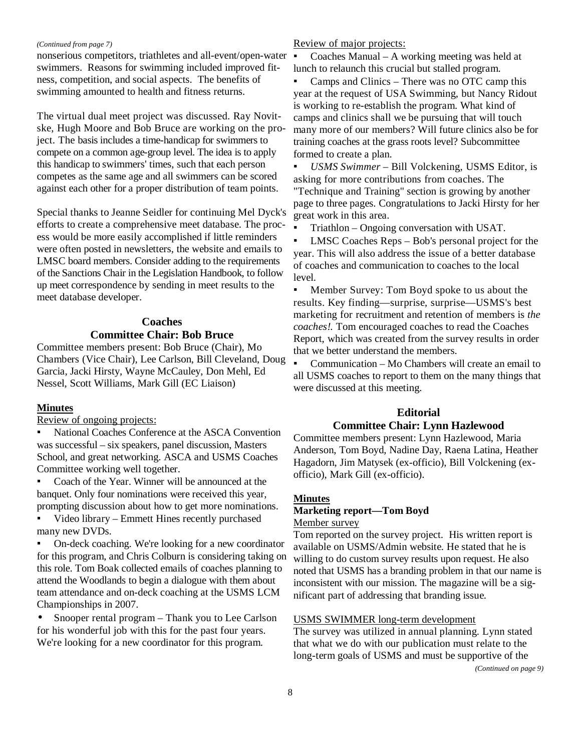#### *(Continued from page 7)*

nonserious competitors, triathletes and all-event/open-water swimmers. Reasons for swimming included improved fitness, competition, and social aspects. The benefits of swimming amounted to health and fitness returns.

The virtual dual meet project was discussed. Ray Novitske, Hugh Moore and Bob Bruce are working on the project. The basis includes a time-handicap for swimmers to compete on a common age-group level. The idea is to apply this handicap to swimmers' times, such that each person competes as the same age and all swimmers can be scored against each other for a proper distribution of team points.

Special thanks to Jeanne Seidler for continuing Mel Dyck's efforts to create a comprehensive meet database. The process would be more easily accomplished if little reminders were often posted in newsletters, the website and emails to LMSC board members. Consider adding to the requirements of the Sanctions Chair in the Legislation Handbook, to follow up meet correspondence by sending in meet results to the meet database developer.

#### **Coaches**

#### **Committee Chair: Bob Bruce**

Committee members present: Bob Bruce (Chair), Mo Chambers (Vice Chair), Lee Carlson, Bill Cleveland, Doug Garcia, Jacki Hirsty, Wayne McCauley, Don Mehl, Ed Nessel, Scott Williams, Mark Gill (EC Liaison)

#### **Minutes**

Review of ongoing projects:

National Coaches Conference at the ASCA Convention was successful – six speakers, panel discussion, Masters School, and great networking. ASCA and USMS Coaches Committee working well together.

Coach of the Year. Winner will be announced at the banquet. Only four nominations were received this year, prompting discussion about how to get more nominations.

Video library – Emmett Hines recently purchased many new DVDs.

On-deck coaching. We're looking for a new coordinator for this program, and Chris Colburn is considering taking on this role. Tom Boak collected emails of coaches planning to attend the Woodlands to begin a dialogue with them about team attendance and on-deck coaching at the USMS LCM Championships in 2007.

• Snooper rental program – Thank you to Lee Carlson for his wonderful job with this for the past four years. We're looking for a new coordinator for this program.

#### Review of major projects:

▪ Coaches Manual – A working meeting was held at lunch to relaunch this crucial but stalled program.

Camps and Clinics – There was no OTC camp this year at the request of USA Swimming, but Nancy Ridout is working to re-establish the program. What kind of camps and clinics shall we be pursuing that will touch many more of our members? Will future clinics also be for training coaches at the grass roots level? Subcommittee formed to create a plan.

▪ *USMS Swimmer –* Bill Volckening, USMS Editor, is asking for more contributions from coaches. The "Technique and Training" section is growing by another page to three pages. Congratulations to Jacki Hirsty for her great work in this area.

▪ Triathlon – Ongoing conversation with USAT.

LMSC Coaches Reps – Bob's personal project for the year. This will also address the issue of a better database of coaches and communication to coaches to the local level.

Member Survey: Tom Boyd spoke to us about the results. Key finding—surprise, surprise—USMS's best marketing for recruitment and retention of members is *the coaches!.* Tom encouraged coaches to read the Coaches Report, which was created from the survey results in order that we better understand the members.

Communication – Mo Chambers will create an email to all USMS coaches to report to them on the many things that were discussed at this meeting.

#### **Editorial**

#### **Committee Chair: Lynn Hazlewood**

Committee members present: Lynn Hazlewood, Maria Anderson, Tom Boyd, Nadine Day, Raena Latina, Heather Hagadorn, Jim Matysek (ex-officio), Bill Volckening (exofficio), Mark Gill (ex-officio).

# **Minutes Marketing report—Tom Boyd**

Member survey

Tom reported on the survey project. His written report is available on USMS/Admin website. He stated that he is willing to do custom survey results upon request. He also noted that USMS has a branding problem in that our name is inconsistent with our mission. The magazine will be a significant part of addressing that branding issue.

#### USMS SWIMMER long-term development

The survey was utilized in annual planning. Lynn stated that what we do with our publication must relate to the long-term goals of USMS and must be supportive of the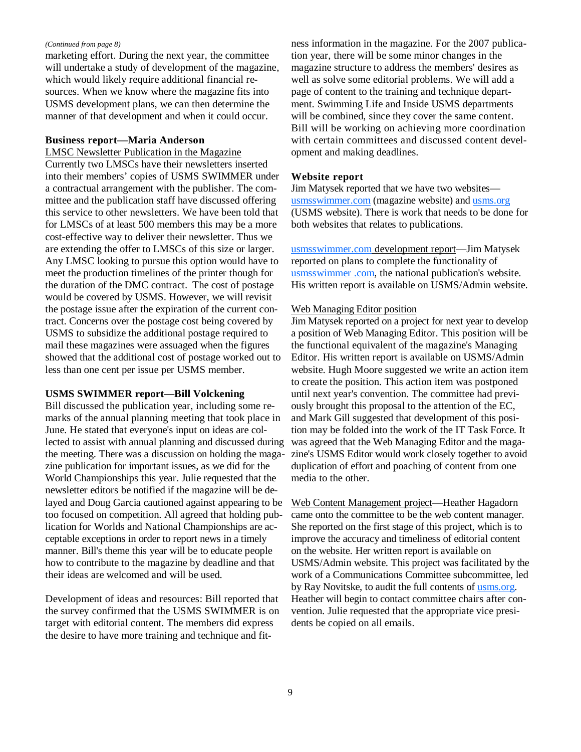#### *(Continued from page 8)*

marketing effort. During the next year, the committee will undertake a study of development of the magazine, which would likely require additional financial resources. When we know where the magazine fits into USMS development plans, we can then determine the manner of that development and when it could occur.

#### **Business report—Maria Anderson**

LMSC Newsletter Publication in the Magazine Currently two LMSCs have their newsletters inserted into their members' copies of USMS SWIMMER under a contractual arrangement with the publisher. The committee and the publication staff have discussed offering this service to other newsletters. We have been told that for LMSCs of at least 500 members this may be a more cost-effective way to deliver their newsletter. Thus we are extending the offer to LMSCs of this size or larger. Any LMSC looking to pursue this option would have to meet the production timelines of the printer though for the duration of the DMC contract. The cost of postage would be covered by USMS. However, we will revisit the postage issue after the expiration of the current contract. Concerns over the postage cost being covered by USMS to subsidize the additional postage required to mail these magazines were assuaged when the figures showed that the additional cost of postage worked out to less than one cent per issue per USMS member.

#### **USMS SWIMMER report—Bill Volckening**

Bill discussed the publication year, including some remarks of the annual planning meeting that took place in June. He stated that everyone's input on ideas are collected to assist with annual planning and discussed during the meeting. There was a discussion on holding the magazine publication for important issues, as we did for the World Championships this year. Julie requested that the newsletter editors be notified if the magazine will be delayed and Doug Garcia cautioned against appearing to be too focused on competition. All agreed that holding publication for Worlds and National Championships are acceptable exceptions in order to report news in a timely manner. Bill's theme this year will be to educate people how to contribute to the magazine by deadline and that their ideas are welcomed and will be used.

Development of ideas and resources: Bill reported that the survey confirmed that the USMS SWIMMER is on target with editorial content. The members did express the desire to have more training and technique and fitness information in the magazine. For the 2007 publication year, there will be some minor changes in the magazine structure to address the members' desires as well as solve some editorial problems. We will add a page of content to the training and technique department. Swimming Life and Inside USMS departments will be combined, since they cover the same content. Bill will be working on achieving more coordination with certain committees and discussed content development and making deadlines.

#### **Website report**

Jim Matysek reported that we have two websites usmsswimmer.com (magazine website) and usms.org (USMS website). There is work that needs to be done for both websites that relates to publications.

usmsswimmer.com development report—Jim Matysek reported on plans to complete the functionality of usmsswimmer .com, the national publication's website. His written report is available on USMS/Admin website.

#### Web Managing Editor position

Jim Matysek reported on a project for next year to develop a position of Web Managing Editor. This position will be the functional equivalent of the magazine's Managing Editor. His written report is available on USMS/Admin website. Hugh Moore suggested we write an action item to create the position. This action item was postponed until next year's convention. The committee had previously brought this proposal to the attention of the EC, and Mark Gill suggested that development of this position may be folded into the work of the IT Task Force. It was agreed that the Web Managing Editor and the magazine's USMS Editor would work closely together to avoid duplication of effort and poaching of content from one media to the other.

Web Content Management project—Heather Hagadorn came onto the committee to be the web content manager. She reported on the first stage of this project, which is to improve the accuracy and timeliness of editorial content on the website. Her written report is available on USMS/Admin website. This project was facilitated by the work of a Communications Committee subcommittee, led by Ray Novitske, to audit the full contents of usms.org. Heather will begin to contact committee chairs after convention. Julie requested that the appropriate vice presidents be copied on all emails.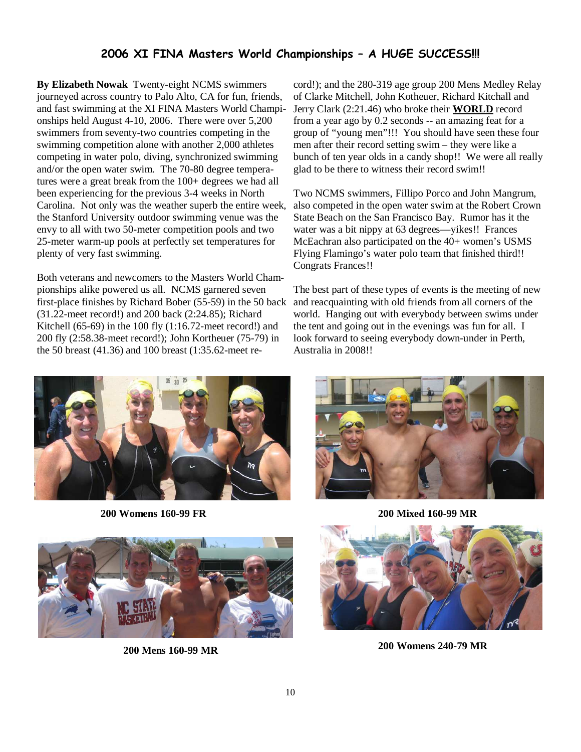### 2006 XI FINA Masters World Championships – A HUGE SUCCESS!!!

**By Elizabeth Nowak** Twenty-eight NCMS swimmers journeyed across country to Palo Alto, CA for fun, friends, and fast swimming at the XI FINA Masters World Championships held August 4-10, 2006. There were over 5,200 swimmers from seventy-two countries competing in the swimming competition alone with another 2,000 athletes competing in water polo, diving, synchronized swimming and/or the open water swim. The 70-80 degree temperatures were a great break from the 100+ degrees we had all been experiencing for the previous 3-4 weeks in North Carolina. Not only was the weather superb the entire week, the Stanford University outdoor swimming venue was the envy to all with two 50-meter competition pools and two 25-meter warm-up pools at perfectly set temperatures for plenty of very fast swimming.

Both veterans and newcomers to the Masters World Championships alike powered us all. NCMS garnered seven first-place finishes by Richard Bober (55-59) in the 50 back (31.22-meet record!) and 200 back (2:24.85); Richard Kitchell (65-69) in the 100 fly  $(1:16.72$ -meet record!) and 200 fly (2:58.38-meet record!); John Kortheuer (75-79) in the 50 breast (41.36) and 100 breast (1:35.62-meet re-

cord!); and the 280-319 age group 200 Mens Medley Relay of Clarke Mitchell, John Kotheuer, Richard Kitchall and Jerry Clark (2:21.46) who broke their **WORLD** record from a year ago by 0.2 seconds -- an amazing feat for a group of "young men"!!! You should have seen these four men after their record setting swim – they were like a bunch of ten year olds in a candy shop!! We were all really glad to be there to witness their record swim!!

Two NCMS swimmers, Fillipo Porco and John Mangrum, also competed in the open water swim at the Robert Crown State Beach on the San Francisco Bay. Rumor has it the water was a bit nippy at 63 degrees—yikes!! Frances McEachran also participated on the 40+ women's USMS Flying Flamingo's water polo team that finished third!! Congrats Frances!!

The best part of these types of events is the meeting of new and reacquainting with old friends from all corners of the world. Hanging out with everybody between swims under the tent and going out in the evenings was fun for all. I look forward to seeing everybody down-under in Perth, Australia in 2008!!



**200 Womens 160-99 FR 200 Mixed 160-99 MR** 



**200 Mens 160-99 MR** 





**200 Womens 240-79 MR**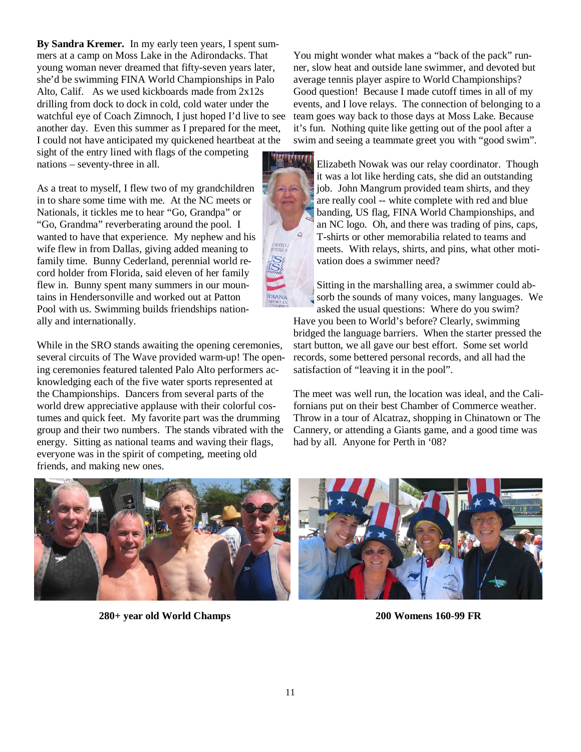**By Sandra Kremer.** In my early teen years, I spent summers at a camp on Moss Lake in the Adirondacks. That young woman never dreamed that fifty-seven years later, she'd be swimming FINA World Championships in Palo Alto, Calif. As we used kickboards made from 2x12s drilling from dock to dock in cold, cold water under the watchful eye of Coach Zimnoch, I just hoped I'd live to see another day. Even this summer as I prepared for the meet, I could not have anticipated my quickened heartbeat at the

sight of the entry lined with flags of the competing nations – seventy-three in all.

As a treat to myself, I flew two of my grandchildren in to share some time with me. At the NC meets or Nationals, it tickles me to hear "Go, Grandpa" or "Go, Grandma" reverberating around the pool. I wanted to have that experience. My nephew and his wife flew in from Dallas, giving added meaning to family time. Bunny Cederland, perennial world record holder from Florida, said eleven of her family flew in. Bunny spent many summers in our mountains in Hendersonville and worked out at Patton Pool with us. Swimming builds friendships nationally and internationally.

While in the SRO stands awaiting the opening ceremonies, several circuits of The Wave provided warm-up! The opening ceremonies featured talented Palo Alto performers acknowledging each of the five water sports represented at the Championships. Dancers from several parts of the world drew appreciative applause with their colorful costumes and quick feet. My favorite part was the drumming group and their two numbers. The stands vibrated with the energy. Sitting as national teams and waving their flags, everyone was in the spirit of competing, meeting old friends, and making new ones.

You might wonder what makes a "back of the pack" runner, slow heat and outside lane swimmer, and devoted but average tennis player aspire to World Championships? Good question! Because I made cutoff times in all of my events, and I love relays. The connection of belonging to a team goes way back to those days at Moss Lake. Because it's fun. Nothing quite like getting out of the pool after a swim and seeing a teammate greet you with "good swim".



Elizabeth Nowak was our relay coordinator. Though it was a lot like herding cats, she did an outstanding job. John Mangrum provided team shirts, and they are really cool -- white complete with red and blue banding, US flag, FINA World Championships, and an NC logo. Oh, and there was trading of pins, caps, T-shirts or other memorabilia related to teams and meets. With relays, shirts, and pins, what other motivation does a swimmer need?

Sitting in the marshalling area, a swimmer could absorb the sounds of many voices, many languages. We asked the usual questions: Where do you swim?

Have you been to World's before? Clearly, swimming bridged the language barriers. When the starter pressed the start button, we all gave our best effort. Some set world records, some bettered personal records, and all had the satisfaction of "leaving it in the pool".

The meet was well run, the location was ideal, and the Californians put on their best Chamber of Commerce weather. Throw in a tour of Alcatraz, shopping in Chinatown or The Cannery, or attending a Giants game, and a good time was had by all. Anyone for Perth in '08?



**280+ year old World Champs 200 Womens 160-99 FR**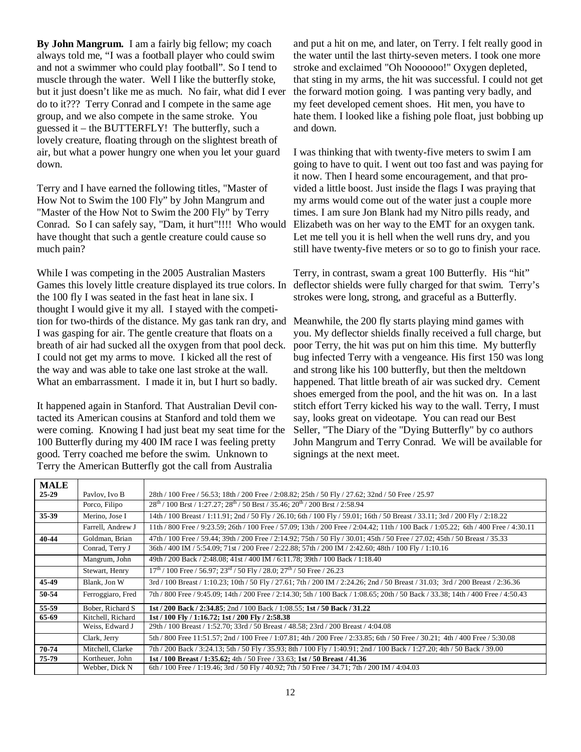**By John Mangrum.** I am a fairly big fellow; my coach always told me, "I was a football player who could swim and not a swimmer who could play football". So I tend to muscle through the water. Well I like the butterfly stoke, but it just doesn't like me as much. No fair, what did I ever do to it??? Terry Conrad and I compete in the same age group, and we also compete in the same stroke. You guessed it – the BUTTERFLY! The butterfly, such a lovely creature, floating through on the slightest breath of air, but what a power hungry one when you let your guard down.

Terry and I have earned the following titles, "Master of How Not to Swim the 100 Fly" by John Mangrum and "Master of the How Not to Swim the 200 Fly" by Terry Conrad. So I can safely say, "Dam, it hurt"!!!! Who would have thought that such a gentle creature could cause so much pain?

While I was competing in the 2005 Australian Masters Games this lovely little creature displayed its true colors. In the 100 fly I was seated in the fast heat in lane six. I thought I would give it my all. I stayed with the competition for two-thirds of the distance. My gas tank ran dry, and I was gasping for air. The gentle creature that floats on a breath of air had sucked all the oxygen from that pool deck. I could not get my arms to move. I kicked all the rest of the way and was able to take one last stroke at the wall. What an embarrassment. I made it in, but I hurt so badly.

It happened again in Stanford. That Australian Devil contacted its American cousins at Stanford and told them we were coming. Knowing I had just beat my seat time for the 100 Butterfly during my 400 IM race I was feeling pretty good. Terry coached me before the swim. Unknown to Terry the American Butterfly got the call from Australia

and put a hit on me, and later, on Terry. I felt really good in the water until the last thirty-seven meters. I took one more stroke and exclaimed "Oh Noooooo!" Oxygen depleted, that sting in my arms, the hit was successful. I could not get the forward motion going. I was panting very badly, and my feet developed cement shoes. Hit men, you have to hate them. I looked like a fishing pole float, just bobbing up and down.

I was thinking that with twenty-five meters to swim I am going to have to quit. I went out too fast and was paying for it now. Then I heard some encouragement, and that provided a little boost. Just inside the flags I was praying that my arms would come out of the water just a couple more times. I am sure Jon Blank had my Nitro pills ready, and Elizabeth was on her way to the EMT for an oxygen tank. Let me tell you it is hell when the well runs dry, and you still have twenty-five meters or so to go to finish your race.

Terry, in contrast, swam a great 100 Butterfly. His "hit" deflector shields were fully charged for that swim. Terry's strokes were long, strong, and graceful as a Butterfly.

Meanwhile, the 200 fly starts playing mind games with you. My deflector shields finally received a full charge, but poor Terry, the hit was put on him this time. My butterfly bug infected Terry with a vengeance. His first 150 was long and strong like his 100 butterfly, but then the meltdown happened. That little breath of air was sucked dry. Cement shoes emerged from the pool, and the hit was on. In a last stitch effort Terry kicked his way to the wall. Terry, I must say, looks great on videotape. You can read our Best Seller, "The Diary of the "Dying Butterfly" by co authors John Mangrum and Terry Conrad. We will be available for signings at the next meet.

| <b>MALE</b> |                   |                                                                                                                                    |
|-------------|-------------------|------------------------------------------------------------------------------------------------------------------------------------|
| $25-29$     | Paylov, Ivo B     | 28th / 100 Free / 56.53; 18th / 200 Free / 2:08.82; 25th / 50 Fly / 27.62; 32nd / 50 Free / 25.97                                  |
|             | Porco, Filipo     | $28th$ / 100 Brst / 1:27.27; $28th$ / 50 Brst / 35.46; $20th$ / 200 Brst / 2:58.94                                                 |
| 35-39       | Merino, Jose I    | 14th / 100 Breast / 1:11.91; 2nd / 50 Fly / 26.10; 6th / 100 Fly / 59.01; 16th / 50 Breast / 33.11; 3rd / 200 Fly / 2:18.22        |
|             | Farrell, Andrew J | 11th / 800 Free / 9:23.59; 26th / 100 Free / 57.09; 13th / 200 Free / 2:04.42; 11th / 100 Back / 1:05.22; 6th / 400 Free / 4:30.11 |
| 40-44       | Goldman, Brian    | 47th / 100 Free / 59.44; 39th / 200 Free / 2:14.92; 75th / 50 Fly / 30.01; 45th / 50 Free / 27.02; 45th / 50 Breast / 35.33        |
|             | Conrad, Terry J   | 36th / 400 IM / 5:54.09; 71st / 200 Free / 2:22.88; 57th / 200 IM / 2:42.60; 48th / 100 Fly / 1:10.16                              |
|             | Mangrum, John     | 49th / 200 Back / 2:48.08; 41st / 400 IM / 6:11.78; 39th / 100 Back / 1:18.40                                                      |
|             | Stewart, Henry    | $17th$ / 100 Free / 56.97; $23rd$ / 50 Fly / 28.0; $27th$ / 50 Free / 26.23                                                        |
| 45-49       | Blank, Jon W      | 3rd / 100 Breast / 1:10.23; 10th / 50 Fly / 27.61; 7th / 200 IM / 2:24.26; 2nd / 50 Breast / 31.03; 3rd / 200 Breast / 2:36.36     |
| 50-54       | Ferroggiaro, Fred | 7th / 800 Free / 9:45.09; 14th / 200 Free / 2:14.30; 5th / 100 Back / 1:08.65; 20th / 50 Back / 33.38; 14th / 400 Free / 4:50.43   |
| 55-59       | Bober, Richard S  | 1st / 200 Back / 2:34.85; 2nd / 100 Back / 1:08.55; 1st / 50 Back / 31.22                                                          |
| 65-69       | Kitchell, Richard | 1st / 100 Fly / 1:16.72; 1st / 200 Fly / 2:58.38                                                                                   |
|             | Weiss, Edward J   | 29th / 100 Breast / 1:52.70; 33rd / 50 Breast / 48.58; 23rd / 200 Breast / 4:04.08                                                 |
|             | Clark, Jerry      | 5th / 800 Free 11:51.57; 2nd / 100 Free / 1:07.81; 4th / 200 Free / 2:33.85; 6th / 50 Free / 30.21; 4th / 400 Free / 5:30.08       |
| 70-74       | Mitchell, Clarke  | 7th / 200 Back / 3:24.13; 5th / 50 Fly / 35.93; 8th / 100 Fly / 1:40.91; 2nd / 100 Back / 1:27.20; 4th / 50 Back / 39.00           |
| 75-79       | Kortheuer, John   | 1st / 100 Breast / 1:35.62; 4th / 50 Free / 33.63; 1st / 50 Breast / 41.36                                                         |
|             | Webber, Dick N    | 6th / 100 Free / 1:19.46; 3rd / 50 Fly / 40.92; 7th / 50 Free / 34.71; 7th / 200 IM / 4:04.03                                      |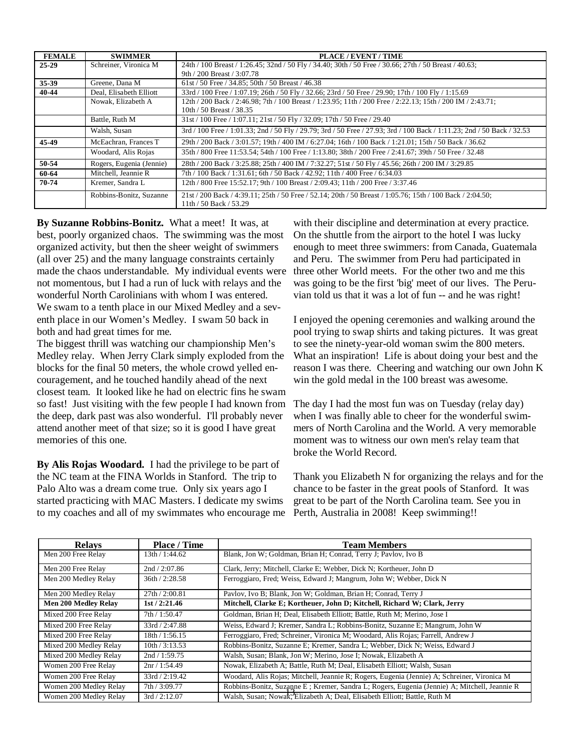| <b>FEMALE</b> | <b>SWIMMER</b>           | PLACE / EVENT / TIME                                                                                                                |
|---------------|--------------------------|-------------------------------------------------------------------------------------------------------------------------------------|
| $25 - 29$     | Schreiner, Vironica M    | 24th / 100 Breast / 1:26.45; 32nd / 50 Fly / 34.40; 30th / 50 Free / 30.66; 27th / 50 Breast / 40.63;                               |
|               |                          | 9th / 200 Breast / 3:07.78                                                                                                          |
| 35-39         | Greene, Dana M           | 61st / 50 Free / 34.85; 50th / 50 Breast / 46.38                                                                                    |
| 40-44         | Deal, Elisabeth Elliott  | 33rd / 100 Free / 1:07.19; 26th / 50 Fly / 32.66; 23rd / 50 Free / 29.90; 17th / 100 Fly / 1:15.69                                  |
|               | Nowak, Elizabeth A       | 12th / 200 Back / 2:46.98; 7th / 100 Breast / 1:23.95; 11th / 200 Free / 2:22.13; 15th / 200 IM / 2:43.71;                          |
|               |                          | 10th / 50 Breast / 38.35                                                                                                            |
|               | Battle, Ruth M           | 31st / 100 Free / 1:07.11; 21st / 50 Fly / 32.09; 17th / 50 Free / 29.40                                                            |
|               | Walsh, Susan             | 3rd / 100 Free / 1:01.33; 2nd / 50 Fly / 29.79; 3rd / 50 Free / 27.93; 3rd / 100 Back / 1:11.23; 2nd / 50 Back / 32.53              |
| 45-49         | McEachran, Frances T     | 29th / 200 Back / 3:01.57; 19th / 400 IM / 6:27.04; 16th / 100 Back / 1:21.01; 15th / 50 Back / 36.62                               |
|               | Woodard, Alis Rojas      | 35th / 800 Free 11:53.54; 54th / 100 Free / 1:13.80; 38th / 200 Free / 2:41.67; 39th / 50 Free / 32.48                              |
| 50-54         | Rogers, Eugenia (Jennie) | 28th / 200 Back / 3:25.88; 25th / 400 IM / 7:32.27; 51st / 50 Fly / 45.56; 26th / 200 IM / 3:29.85                                  |
| 60-64         | Mitchell, Jeannie R      | 7th / 100 Back / 1:31.61; 6th / 50 Back / 42.92; 11th / 400 Free / 6:34.03                                                          |
| 70-74         | Kremer, Sandra L         | 12th / 800 Free 15:52.17; 9th / 100 Breast / 2:09.43; 11th / 200 Free / 3:37.46                                                     |
|               | Robbins-Bonitz, Suzanne  | 21st / 200 Back / 4:39.11; 25th / 50 Free / 52.14; 20th / 50 Breast / 1:05.76; 15th / 100 Back / 2:04.50;<br>11th / 50 Back / 53.29 |

**By Suzanne Robbins-Bonitz.** What a meet! It was, at best, poorly organized chaos. The swimming was the most organized activity, but then the sheer weight of swimmers (all over 25) and the many language constraints certainly made the chaos understandable. My individual events were not momentous, but I had a run of luck with relays and the wonderful North Carolinians with whom I was entered. We swam to a tenth place in our Mixed Medley and a seventh place in our Women's Medley. I swam 50 back in both and had great times for me.

The biggest thrill was watching our championship Men's Medley relay. When Jerry Clark simply exploded from the blocks for the final 50 meters, the whole crowd yelled encouragement, and he touched handily ahead of the next closest team. It looked like he had on electric fins he swam so fast! Just visiting with the few people I had known from the deep, dark past was also wonderful. I'll probably never attend another meet of that size; so it is good I have great memories of this one.

**By Alis Rojas Woodard.** I had the privilege to be part of the NC team at the FINA Worlds in Stanford. The trip to Palo Alto was a dream come true. Only six years ago I started practicing with MAC Masters. I dedicate my swims to my coaches and all of my swimmates who encourage me

with their discipline and determination at every practice. On the shuttle from the airport to the hotel I was lucky enough to meet three swimmers: from Canada, Guatemala and Peru. The swimmer from Peru had participated in three other World meets. For the other two and me this was going to be the first 'big' meet of our lives. The Peruvian told us that it was a lot of fun -- and he was right!

I enjoyed the opening ceremonies and walking around the pool trying to swap shirts and taking pictures. It was great to see the ninety-year-old woman swim the 800 meters. What an inspiration! Life is about doing your best and the reason I was there. Cheering and watching our own John K win the gold medal in the 100 breast was awesome.

The day I had the most fun was on Tuesday (relay day) when I was finally able to cheer for the wonderful swimmers of North Carolina and the World. A very memorable moment was to witness our own men's relay team that broke the World Record.

Thank you Elizabeth N for organizing the relays and for the chance to be faster in the great pools of Stanford. It was great to be part of the North Carolina team. See you in Perth, Australia in 2008! Keep swimming!!

| <b>Relays</b>               | <b>Place / Time</b> | <b>Team Members</b>                                                                          |
|-----------------------------|---------------------|----------------------------------------------------------------------------------------------|
| Men 200 Free Relay          | 13th / 1:44.62      | Blank, Jon W; Goldman, Brian H; Conrad, Terry J; Pavlov, Ivo B                               |
| Men 200 Free Relay          | 2nd / 2:07.86       | Clark, Jerry; Mitchell, Clarke E; Webber, Dick N; Kortheuer, John D                          |
| Men 200 Medley Relay        | 36th / 2:28.58      | Ferroggiaro, Fred; Weiss, Edward J; Mangrum, John W; Webber, Dick N                          |
| Men 200 Medley Relay        | 27th / 2:00.81      | Pavlov, Ivo B; Blank, Jon W; Goldman, Brian H; Conrad, Terry J                               |
| <b>Men 200 Medley Relay</b> | 1st/2:21.46         | Mitchell, Clarke E; Kortheuer, John D; Kitchell, Richard W; Clark, Jerry                     |
| Mixed 200 Free Relay        | 7th / 1:50.47       | Goldman, Brian H; Deal, Elisabeth Elliott; Battle, Ruth M; Merino, Jose I                    |
| Mixed 200 Free Relay        | 33rd / 2:47.88      | Weiss, Edward J; Kremer, Sandra L; Robbins-Bonitz, Suzanne E; Mangrum, John W                |
| Mixed 200 Free Relay        | 18th / 1:56.15      | Ferroggiaro, Fred; Schreiner, Vironica M; Woodard, Alis Rojas; Farrell, Andrew J             |
| Mixed 200 Medley Relay      | 10th / 3:13.53      | Robbins-Bonitz, Suzanne E; Kremer, Sandra L; Webber, Dick N; Weiss, Edward J                 |
| Mixed 200 Medley Relay      | 2nd / 1:59.75       | Walsh, Susan; Blank, Jon W; Merino, Jose I; Nowak, Elizabeth A                               |
| Women 200 Free Relay        | 2nr / 1:54.49       | Nowak, Elizabeth A; Battle, Ruth M; Deal, Elisabeth Elliott; Walsh, Susan                    |
| Women 200 Free Relay        | 33rd / 2:19.42      | Woodard, Alis Rojas; Mitchell, Jeannie R; Rogers, Eugenia (Jennie) A; Schreiner, Vironica M  |
| Women 200 Medley Relay      | 7th / 3:09.77       | Robbins-Bonitz, Suzanne E; Kremer, Sandra L; Rogers, Eugenia (Jennie) A; Mitchell, Jeannie R |
| Women 200 Medley Relay      | 3rd/2:12.07         | Walsh, Susan; Nowak, Elizabeth A; Deal, Elisabeth Elliott; Battle, Ruth M                    |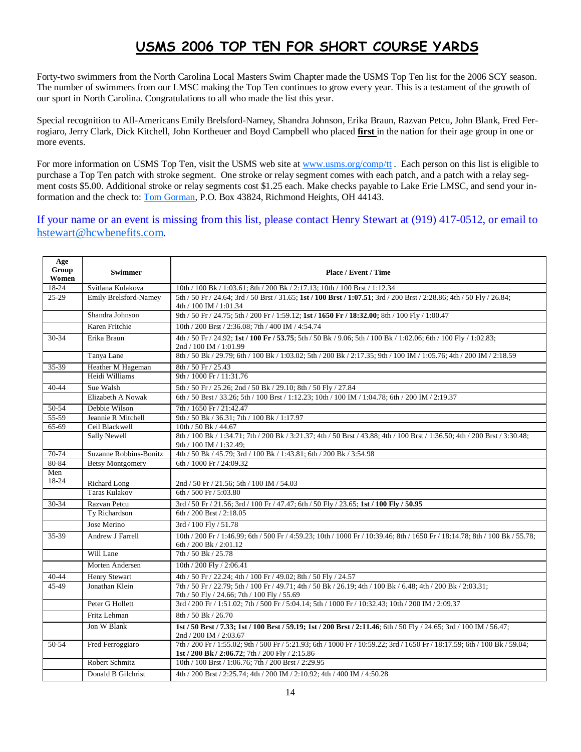# USMS 2006 TOP TEN FOR SHORT COURSE YARDS

Forty-two swimmers from the North Carolina Local Masters Swim Chapter made the USMS Top Ten list for the 2006 SCY season. The number of swimmers from our LMSC making the Top Ten continues to grow every year. This is a testament of the growth of our sport in North Carolina. Congratulations to all who made the list this year.

Special recognition to All-Americans Emily Brelsford-Namey, Shandra Johnson, Erika Braun, Razvan Petcu, John Blank, Fred Ferrogiaro, Jerry Clark, Dick Kitchell, John Kortheuer and Boyd Campbell who placed **first** in the nation for their age group in one or more events.

For more information on USMS Top Ten, visit the USMS web site at www.usms.org/comp/tt. Each person on this list is eligible to purchase a Top Ten patch with stroke segment. One stroke or relay segment comes with each patch, and a patch with a relay segment costs \$5.00. Additional stroke or relay segments cost \$1.25 each. Make checks payable to Lake Erie LMSC, and send your information and the check to: Tom Gorman, P.O. Box 43824, Richmond Heights, OH 44143.

If your name or an event is missing from this list, please contact Henry Stewart at (919) 417-0512, or email to hstewart@hcwbenefits.com.

| Age<br>Group<br>Women | <b>Swimmer</b>               | Place / Event / Time                                                                                                                                                         |
|-----------------------|------------------------------|------------------------------------------------------------------------------------------------------------------------------------------------------------------------------|
| 18-24                 | Svitlana Kulakova            | 10th / 100 Bk / 1:03.61; 8th / 200 Bk / 2:17.13; 10th / 100 Brst / 1:12.34                                                                                                   |
| $25-29$               | <b>Emily Brelsford-Namey</b> | 5th / 50 Fr / 24.64; 3rd / 50 Brst / 31.65; 1st / 100 Brst / 1:07.51; 3rd / 200 Brst / 2:28.86; 4th / 50 Fly / 26.84;                                                        |
|                       |                              | 4th / 100 IM / 1:01.34                                                                                                                                                       |
|                       | Shandra Johnson              | 9th / 50 Fr / 24.75; 5th / 200 Fr / 1:59.12; 1st / 1650 Fr / 18:32.00; 8th / 100 Fly / 1:00.47                                                                               |
|                       | Karen Fritchie               | 10th / 200 Brst / 2:36.08; 7th / 400 IM / 4:54.74                                                                                                                            |
| $30 - 34$             | Erika Braun                  | 4th / 50 Fr / 24.92; 1st / 100 Fr / 53.75; 5th / 50 Bk / 9.06; 5th / 100 Bk / 1:02.06; 6th / 100 Fly / 1:02.83;<br>2nd / 100 IM / 1:01.99                                    |
|                       | Tanya Lane                   | 8th / 50 Bk / 29.79; 6th / 100 Bk / 1:03.02; 5th / 200 Bk / 2:17.35; 9th / 100 IM / 1:05.76; 4th / 200 IM / 2:18.59                                                          |
| 35-39                 | Heather M Hageman            | 8th / 50 Fr / 25.43                                                                                                                                                          |
|                       | Heidi Williams               | 9th / 1000 Fr / 11:31.76                                                                                                                                                     |
| $40 - 44$             | Sue Walsh                    | 5th / 50 Fr / 25.26; 2nd / 50 Bk / 29.10; 8th / 50 Fly / 27.84                                                                                                               |
|                       | Elizabeth A Nowak            | 6th / 50 Brst / 33.26; 5th / 100 Brst / 1:12.23; 10th / 100 IM / 1:04.78; 6th / 200 IM / 2:19.37                                                                             |
| 50-54                 | Debbie Wilson                | 7th / 1650 Fr / 21:42.47                                                                                                                                                     |
| $55-59$               | Jeannie R Mitchell           | 9th / 50 Bk / 36.31; 7th / 100 Bk / 1:17.97                                                                                                                                  |
| 65-69                 | Ceil Blackwell               | 10th / 50 Bk / 44.67                                                                                                                                                         |
|                       | Sally Newell                 | 8th / 100 Bk / 1:34.71; 7th / 200 Bk / 3:21.37; 4th / 50 Brst / 43.88; 4th / 100 Brst / 1:36.50; 4th / 200 Brst / 3:30.48;<br>9th / 100 IM / 1:32.49;                        |
| 70-74                 | Suzanne Robbins-Bonitz       | 4th / 50 Bk / 45.79; 3rd / 100 Bk / 1:43.81; 6th / 200 Bk / 3:54.98                                                                                                          |
| 80-84                 | <b>Betsy Montgomery</b>      | 6th / 1000 Fr / 24:09.32                                                                                                                                                     |
| Men<br>18-24          | Richard Long                 | 2nd / 50 Fr / 21.56; 5th / 100 IM / 54.03                                                                                                                                    |
|                       | <b>Taras Kulakov</b>         | 6th / 500 Fr / 5:03.80                                                                                                                                                       |
| 30-34                 | Razvan Petcu                 | 3rd / 50 Fr / 21.56; 3rd / 100 Fr / 47.47; 6th / 50 Fly / 23.65; 1st / 100 Fly / 50.95                                                                                       |
|                       | Ty Richardson                | 6th / 200 Brst / 2:18.05                                                                                                                                                     |
|                       | Jose Merino                  | 3rd / 100 Fly / 51.78                                                                                                                                                        |
| 35-39                 | Andrew J Farrell             | 10th / 200 Fr / 1:46.99; 6th / 500 Fr / 4:59.23; 10th / 1000 Fr / 10:39.46; 8th / 1650 Fr / 18:14.78; 8th / 100 Bk / 55.78;<br>6th / 200 Bk / 2:01.12                        |
|                       | Will Lane                    | 7th / 50 Bk / 25.78                                                                                                                                                          |
|                       | Morten Andersen              | 10th / 200 Fly / 2:06.41                                                                                                                                                     |
| $40 - 44$             | <b>Henry Stewart</b>         | 4th / 50 Fr / 22.24; 4th / 100 Fr / 49.02; 8th / 50 Fly / 24.57                                                                                                              |
| 45-49                 | Jonathan Klein               | 7th / 50 Fr / 22.79; 5th / 100 Fr / 49.71; 4th / 50 Bk / 26.19; 4th / 100 Bk / 6.48; 4th / 200 Bk / 2:03.31;<br>7th / 50 Fly / 24.66; 7th / 100 Fly / 55.69                  |
|                       | Peter G Hollett              | 3rd / 200 Fr / 1:51.02; 7th / 500 Fr / 5:04.14; 5th / 1000 Fr / 10:32.43; 10th / 200 IM / 2:09.37                                                                            |
|                       | Fritz Lehman                 | 8th / 50 Bk / 26.70                                                                                                                                                          |
|                       | Jon W Blank                  | 1st / 50 Brst / 7.33; 1st / 100 Brst / 59.19; 1st / 200 Brst / 2:11.46; 6th / 50 Fly / 24.65; 3rd / 100 IM / 56.47;<br>2nd / 200 IM / 2:03.67                                |
| 50-54                 | Fred Ferroggiaro             | 7th / 200 Fr / 1:55.02; 9th / 500 Fr / 5:21.93; 6th / 1000 Fr / 10:59.22; 3rd / 1650 Fr / 18:17.59; 6th / 100 Bk / 59.04;<br>1st / 200 Bk / 2:06.72; 7th / 200 Fly / 2:15.86 |
|                       | Robert Schmitz               | 10th / 100 Brst / 1:06.76; 7th / 200 Brst / 2:29.95                                                                                                                          |
|                       | Donald B Gilchrist           | 4th / 200 Brst / 2:25.74; 4th / 200 IM / 2:10.92; 4th / 400 IM / 4:50.28                                                                                                     |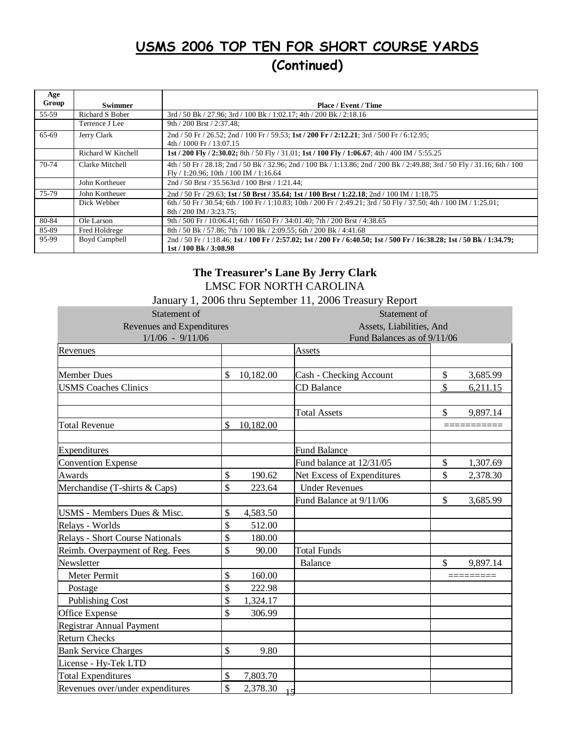# USMS 2006 TOP TEN FOR SHORT COURSE YARDS (Continued)

| Age<br>Group |                      |                                                                                                                                                                        |
|--------------|----------------------|------------------------------------------------------------------------------------------------------------------------------------------------------------------------|
|              | <b>Swimmer</b>       | <b>Place / Event / Time</b>                                                                                                                                            |
| 55-59        | Richard S Bober      | 3rd / 50 Bk / 27.96; 3rd / 100 Bk / 1:02.17; 4th / 200 Bk / 2:18.16                                                                                                    |
|              | Terrence J Lee       | 9th / 200 Brst / 2:37.48;                                                                                                                                              |
| 65-69        | Jerry Clark          | 2nd / 50 Fr / 26.52; 2nd / 100 Fr / 59.53; 1st / 200 Fr / 2:12.21; 3rd / 500 Fr / 6:12.95;<br>$4th / 1000$ Fr $/ 13:07.15$                                             |
|              | Richard W Kitchell   | 1st / 200 Fly / 2:30.02; 8th / 50 Fly / 31.01; 1st / 100 Fly / 1:06.67; 4th / 400 IM / 5:55.25                                                                         |
| 70-74        | Clarke Mitchell      | 4th / 50 Fr / 28.18; 2nd / 50 Bk / 32.96; 2nd / 100 Bk / 1:13.86; 2nd / 200 Bk / 2:49.88; 3rd / 50 Fly / 31.16; 6th / 100<br>$Fly / 1:20.96$ ; 10th / 100 IM / 1:16.64 |
|              | John Kortheuer       | 2nd / 50 Brst / 35.563rd / 100 Brst / 1:21.44;                                                                                                                         |
| 75-79        | John Kortheuer       | 2nd / 50 Fr / 29.63; 1st / 50 Brst / 35.64; 1st / 100 Brst / 1:22.18; 2nd / 100 IM / 1:18.75                                                                           |
|              | Dick Webber          | 6th / 50 Fr / 30.54; 6th / 100 Fr / 1:10.83; 10th / 200 Fr / 2:49.21; 3rd / 50 Fly / 37.50; 4th / 100 IM / 1:25.01;<br>$8th / 200$ IM $/ 3:23.75$ :                    |
| 80-84        | Ole Larson           | 9th / 500 Fr / 10:06.41; 6th / 1650 Fr / 34:01.40; 7th / 200 Brst / 4:38.65                                                                                            |
| 85-89        | Fred Holdrege        | 8th / 50 Bk / 57.86; 7th / 100 Bk / 2:09.55; 6th / 200 Bk / 4:41.68                                                                                                    |
| 95-99        | <b>Boyd Campbell</b> | 2nd / 50 Fr / 1:18.46; 1st / 100 Fr / 2:57.02; 1st / 200 Fr / 6:40.50; 1st / 500 Fr / 16:38.28; 1st / 50 Bk / 1:34.79;<br>1st / 100 Bk / 3:08.98                       |

### LMSC FOR NORTH CAROLINA **The Treasurer's Lane By Jerry Clark**

|                                  |                             |                          | January 1, 2006 thru September 11, 2006 Treasury Report |               |          |  |
|----------------------------------|-----------------------------|--------------------------|---------------------------------------------------------|---------------|----------|--|
| Statement of                     |                             |                          | Statement of                                            |               |          |  |
| Revenues and Expenditures        |                             | Assets, Liabilities, And |                                                         |               |          |  |
| $1/1/06 - 9/11/06$               | Fund Balances as of 9/11/06 |                          |                                                         |               |          |  |
| Revenues                         |                             |                          | <b>Assets</b>                                           |               |          |  |
|                                  |                             |                          |                                                         |               |          |  |
| <b>Member Dues</b>               | $\mathbb{S}$                | 10,182.00                | Cash - Checking Account                                 | \$            | 3,685.99 |  |
| <b>USMS</b> Coaches Clinics      |                             |                          | CD Balance                                              | \$            | 6,211.15 |  |
|                                  |                             |                          | <b>Total Assets</b>                                     | \$            | 9,897.14 |  |
| <b>Total Revenue</b>             | \$                          | 10,182.00                |                                                         |               |          |  |
| Expenditures                     |                             |                          | <b>Fund Balance</b>                                     |               |          |  |
| <b>Convention Expense</b>        |                             |                          | Fund balance at 12/31/05                                | $\mathcal{S}$ | 1,307.69 |  |
| Awards                           | \$                          | 190.62                   | Net Excess of Expenditures                              | \$            | 2,378.30 |  |
| Merchandise (T-shirts & Caps)    | \$                          | 223.64                   | <b>Under Revenues</b>                                   |               |          |  |
|                                  |                             |                          | Fund Balance at 9/11/06                                 | \$            | 3,685.99 |  |
| USMS - Members Dues & Misc.      | \$                          | 4,583.50                 |                                                         |               |          |  |
| Relays - Worlds                  | \$                          | 512.00                   |                                                         |               |          |  |
| Relays - Short Course Nationals  | \$                          | 180.00                   |                                                         |               |          |  |
| Reimb. Overpayment of Reg. Fees  | \$                          | 90.00                    | <b>Total Funds</b>                                      |               |          |  |
| Newsletter                       |                             |                          | Balance                                                 | $\mathbb{S}$  | 9,897.14 |  |
| Meter Permit                     | \$                          | 160.00                   |                                                         |               |          |  |
| Postage                          | \$                          | 222.98                   |                                                         |               |          |  |
| <b>Publishing Cost</b>           | \$                          | 1,324.17                 |                                                         |               |          |  |
| Office Expense                   | \$                          | 306.99                   |                                                         |               |          |  |
| <b>Registrar Annual Payment</b>  |                             |                          |                                                         |               |          |  |
| <b>Return Checks</b>             |                             |                          |                                                         |               |          |  |
| <b>Bank Service Charges</b>      | \$                          | 9.80                     |                                                         |               |          |  |
| License - Hy-Tek LTD             |                             |                          |                                                         |               |          |  |
| <b>Total Expenditures</b>        | $\boldsymbol{\mathsf{S}}$   | 7,803.70                 |                                                         |               |          |  |
| Revenues over/under expenditures | \$                          | 2,378.30                 | 15                                                      |               |          |  |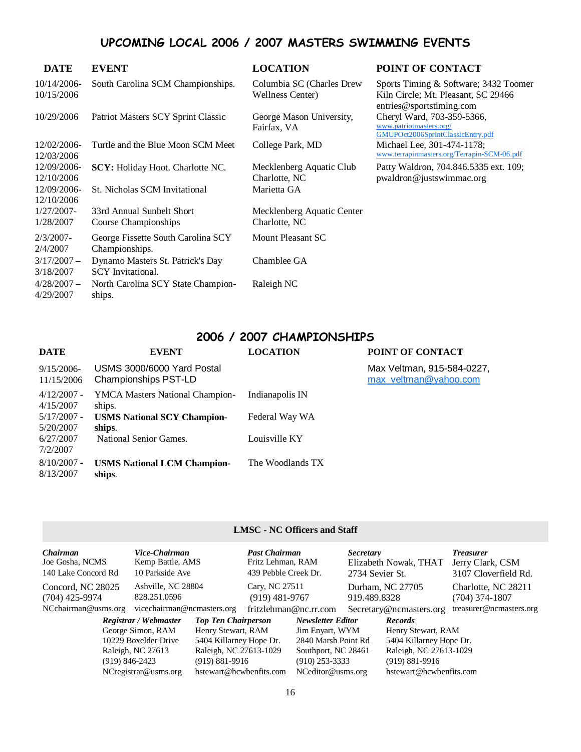# UPCOMING LOCAL 2006 / 2007 MASTERS SWIMMING EVENTS

| <b>DATE</b>                | <b>EVENT</b>                                                 | <b>LOCATION</b>                                      | POINT OF CONTACT                                                                                         |
|----------------------------|--------------------------------------------------------------|------------------------------------------------------|----------------------------------------------------------------------------------------------------------|
| 10/14/2006-<br>10/15/2006  | South Carolina SCM Championships.                            | Columbia SC (Charles Drew<br><b>Wellness Center)</b> | Sports Timing & Software; 3432 Toomer<br>Kiln Circle; Mt. Pleasant, SC 29466<br>entries@sportstiming.com |
| 10/29/2006                 | Patriot Masters SCY Sprint Classic                           | George Mason University,<br>Fairfax, VA              | Cheryl Ward, 703-359-5366,<br>www.patriotmasters.org/<br>GMUPOct2006SprintClassicEntry.pdf               |
| 12/02/2006-<br>12/03/2006  | Turtle and the Blue Moon SCM Meet                            | College Park, MD                                     | Michael Lee, 301-474-1178;<br>www.terrapinmasters.org/Terrapin-SCM-06.pdf                                |
| 12/09/2006-<br>12/10/2006  | <b>SCY:</b> Holiday Hoot. Charlotte NC.                      | Mecklenberg Aquatic Club<br>Charlotte, NC            | Patty Waldron, 704.846.5335 ext. 109;<br>$p$ waldron@justswimmac.org                                     |
| 12/09/2006-<br>12/10/2006  | St. Nicholas SCM Invitational                                | Marietta GA                                          |                                                                                                          |
| 1/27/2007-<br>1/28/2007    | 33rd Annual Sunbelt Short<br>Course Championships            | Mecklenberg Aquatic Center<br>Charlotte, NC          |                                                                                                          |
| $2/3/2007$ -<br>2/4/2007   | George Fissette South Carolina SCY<br>Championships.         | Mount Pleasant SC                                    |                                                                                                          |
| $3/17/2007 -$<br>3/18/2007 | Dynamo Masters St. Patrick's Day<br><b>SCY</b> Invitational. | Chamblee GA                                          |                                                                                                          |
| $4/28/2007 -$<br>4/29/2007 | North Carolina SCY State Champion-<br>ships.                 | Raleigh NC                                           |                                                                                                          |

# 2006 / 2007 CHAMPIONSHIPS

| <b>DATE</b>                 | <b>EVENT</b>                                       | <b>LOCATION</b>  | POINT OF CONTACT                                    |
|-----------------------------|----------------------------------------------------|------------------|-----------------------------------------------------|
| $9/15/2006$ -<br>11/15/2006 | USMS 3000/6000 Yard Postal<br>Championships PST-LD |                  | Max Veltman, 915-584-0227,<br>max_veltman@yahoo.com |
| $4/12/2007$ -<br>4/15/2007  | <b>YMCA Masters National Champion-</b><br>ships.   | Indianapolis IN  |                                                     |
| 5/17/2007 -<br>5/20/2007    | <b>USMS National SCY Champion-</b><br>ships.       | Federal Way WA   |                                                     |
| 6/27/2007<br>7/2/2007       | National Senior Games.                             | Louisville KY    |                                                     |
| $8/10/2007$ -<br>8/13/2007  | <b>USMS National LCM Champion-</b><br>ships.       | The Woodlands TX |                                                     |

#### **LMSC - NC Officers and Staff**

| <b>Chairman</b><br>Joe Gosha, NCMS<br>140 Lake Concord Rd | Vice-Chairman<br>Kemp Battle, AMS<br>10 Parkside Ave |                            | <b>Past Chairman</b><br>Fritz Lehman, RAM<br>439 Pebble Creek Dr. |                          | <b>Secretary</b><br>2734 Sevier St. | Elizabeth Nowak, THAT   | <b>Treasurer</b><br>Jerry Clark, CSM<br>3107 Cloverfield Rd. |
|-----------------------------------------------------------|------------------------------------------------------|----------------------------|-------------------------------------------------------------------|--------------------------|-------------------------------------|-------------------------|--------------------------------------------------------------|
| Concord, NC 28025<br>$(704)$ 425-9974                     | Ashville, NC 28804<br>828.251.0596                   |                            | Cary, NC 27511<br>$(919)$ 481-9767                                |                          | 919.489.8328                        | Durham, NC 27705        | Charlotte, NC 28211<br>$(704)$ 374-1807                      |
| NCchairman@usms.org                                       | vicechairman@ncmasters.org                           |                            | fritzlehman@nc.rr.com                                             |                          |                                     | Secretary@ncmasters.org | treasurer@ncmasters.org                                      |
|                                                           | Registrar / Webmaster                                | <b>Top Ten Chairperson</b> |                                                                   | <b>Newsletter Editor</b> |                                     | <b>Records</b>          |                                                              |
|                                                           | George Simon, RAM                                    | Henry Stewart, RAM         |                                                                   | Jim Enyart, WYM          |                                     | Henry Stewart, RAM      |                                                              |
| 10229 Boxelder Drive                                      |                                                      | 5404 Killarney Hope Dr.    |                                                                   | 2840 Marsh Point Rd      |                                     | 5404 Killarney Hope Dr. |                                                              |
| Raleigh, NC 27613                                         |                                                      | Raleigh, NC 27613-1029     |                                                                   | Southport, NC 28461      |                                     | Raleigh, NC 27613-1029  |                                                              |
| $(919) 846 - 2423$                                        |                                                      | $(919) 881 - 9916$         |                                                                   | $(910)$ 253-3333         |                                     | $(919) 881 - 9916$      |                                                              |
|                                                           | $NC$ registrar@usms.org                              | hstewart@hcwbenfits.com    |                                                                   | NCeditor@usms.org        |                                     | hstewart@hcwbenfits.com |                                                              |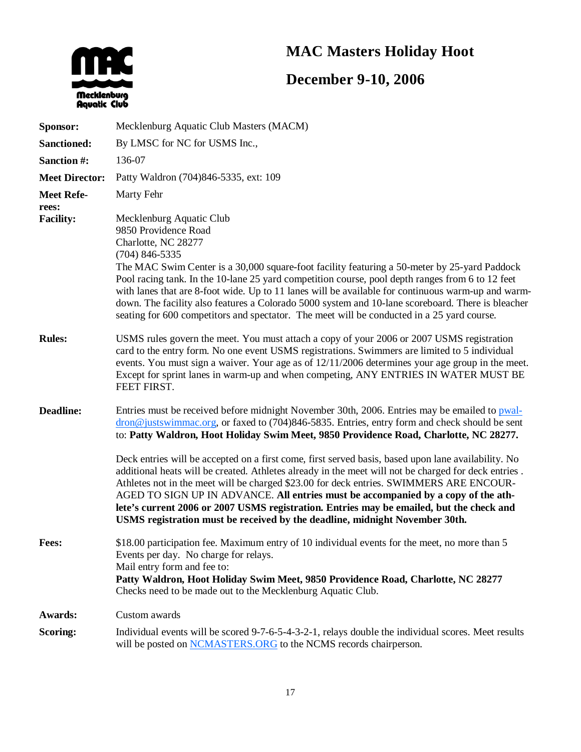# **MAC Masters Holiday Hoot**



# **December 9-10, 2006**

| Sponsor:                  | Mecklenburg Aquatic Club Masters (MACM)                                                                                                                                                                                                                                                                                                                                                                                                                                                                                                                                                                  |
|---------------------------|----------------------------------------------------------------------------------------------------------------------------------------------------------------------------------------------------------------------------------------------------------------------------------------------------------------------------------------------------------------------------------------------------------------------------------------------------------------------------------------------------------------------------------------------------------------------------------------------------------|
| <b>Sanctioned:</b>        | By LMSC for NC for USMS Inc.,                                                                                                                                                                                                                                                                                                                                                                                                                                                                                                                                                                            |
| Sanction #:               | 136-07                                                                                                                                                                                                                                                                                                                                                                                                                                                                                                                                                                                                   |
| <b>Meet Director:</b>     | Patty Waldron (704)846-5335, ext: 109                                                                                                                                                                                                                                                                                                                                                                                                                                                                                                                                                                    |
| <b>Meet Refe-</b>         | Marty Fehr                                                                                                                                                                                                                                                                                                                                                                                                                                                                                                                                                                                               |
| rees:<br><b>Facility:</b> | Mecklenburg Aquatic Club<br>9850 Providence Road<br>Charlotte, NC 28277<br>$(704)$ 846-5335<br>The MAC Swim Center is a 30,000 square-foot facility featuring a 50-meter by 25-yard Paddock<br>Pool racing tank. In the 10-lane 25 yard competition course, pool depth ranges from 6 to 12 feet<br>with lanes that are 8-foot wide. Up to 11 lanes will be available for continuous warm-up and warm-<br>down. The facility also features a Colorado 5000 system and 10-lane scoreboard. There is bleacher<br>seating for 600 competitors and spectator. The meet will be conducted in a 25 yard course. |
| <b>Rules:</b>             | USMS rules govern the meet. You must attach a copy of your 2006 or 2007 USMS registration<br>card to the entry form. No one event USMS registrations. Swimmers are limited to 5 individual<br>events. You must sign a waiver. Your age as of 12/11/2006 determines your age group in the meet.<br>Except for sprint lanes in warm-up and when competing, ANY ENTRIES IN WATER MUST BE<br>FEET FIRST.                                                                                                                                                                                                     |
| <b>Deadline:</b>          | Entries must be received before midnight November 30th, 2006. Entries may be emailed to pwal-<br>$\frac{d}{d}$ dron@ justswimmac.org, or faxed to (704)846-5835. Entries, entry form and check should be sent<br>to: Patty Waldron, Hoot Holiday Swim Meet, 9850 Providence Road, Charlotte, NC 28277.                                                                                                                                                                                                                                                                                                   |
|                           | Deck entries will be accepted on a first come, first served basis, based upon lane availability. No<br>additional heats will be created. Athletes already in the meet will not be charged for deck entries.<br>Athletes not in the meet will be charged \$23.00 for deck entries. SWIMMERS ARE ENCOUR-<br>AGED TO SIGN UP IN ADVANCE. All entries must be accompanied by a copy of the ath-<br>lete's current 2006 or 2007 USMS registration. Entries may be emailed, but the check and<br>USMS registration must be received by the deadline, midnight November 30th.                                   |
| Fees:                     | \$18.00 participation fee. Maximum entry of 10 individual events for the meet, no more than 5<br>Events per day. No charge for relays.<br>Mail entry form and fee to:<br>Patty Waldron, Hoot Holiday Swim Meet, 9850 Providence Road, Charlotte, NC 28277<br>Checks need to be made out to the Mecklenburg Aquatic Club.                                                                                                                                                                                                                                                                                 |
| Awards:                   | Custom awards                                                                                                                                                                                                                                                                                                                                                                                                                                                                                                                                                                                            |
| Scoring:                  | Individual events will be scored 9-7-6-5-4-3-2-1, relays double the individual scores. Meet results<br>will be posted on NCMASTERS.ORG to the NCMS records chairperson.                                                                                                                                                                                                                                                                                                                                                                                                                                  |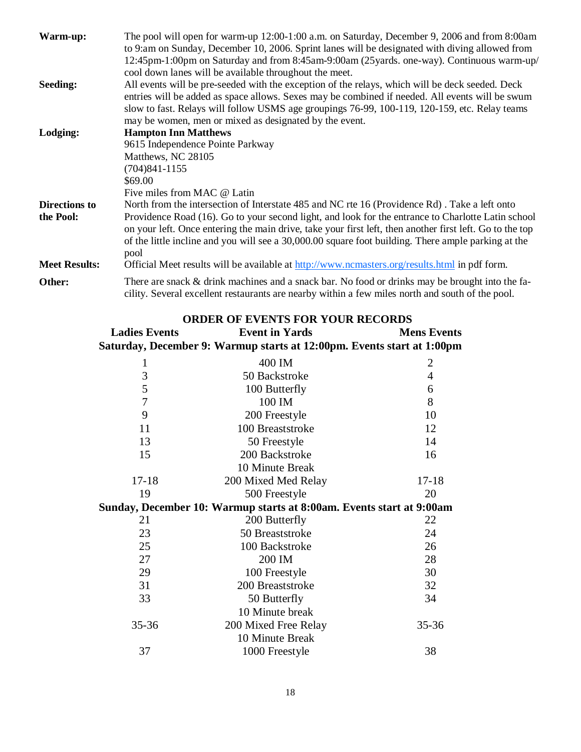| Warm-up:             | The pool will open for warm-up 12:00-1:00 a.m. on Saturday, December 9, 2006 and from 8:00am                                                                                                        |
|----------------------|-----------------------------------------------------------------------------------------------------------------------------------------------------------------------------------------------------|
|                      | to 9:am on Sunday, December 10, 2006. Sprint lanes will be designated with diving allowed from                                                                                                      |
|                      | 12:45pm-1:00pm on Saturday and from 8:45am-9:00am (25yards. one-way). Continuous warm-up/                                                                                                           |
|                      | cool down lanes will be available throughout the meet.                                                                                                                                              |
| Seeding:             | All events will be pre-seeded with the exception of the relays, which will be deck seeded. Deck                                                                                                     |
|                      | entries will be added as space allows. Sexes may be combined if needed. All events will be swum                                                                                                     |
|                      | slow to fast. Relays will follow USMS age groupings 76-99, 100-119, 120-159, etc. Relay teams                                                                                                       |
|                      | may be women, men or mixed as designated by the event.                                                                                                                                              |
| Lodging:             | <b>Hampton Inn Matthews</b>                                                                                                                                                                         |
|                      | 9615 Independence Pointe Parkway                                                                                                                                                                    |
|                      | Matthews, NC 28105                                                                                                                                                                                  |
|                      | $(704)841 - 1155$                                                                                                                                                                                   |
|                      | \$69.00                                                                                                                                                                                             |
|                      | Five miles from MAC @ Latin                                                                                                                                                                         |
| Directions to        | North from the intersection of Interstate 485 and NC rte 16 (Providence Rd). Take a left onto                                                                                                       |
| the Pool:            | Providence Road (16). Go to your second light, and look for the entrance to Charlotte Latin school                                                                                                  |
|                      | on your left. Once entering the main drive, take your first left, then another first left. Go to the top                                                                                            |
|                      | of the little incline and you will see a 30,000.00 square foot building. There ample parking at the                                                                                                 |
|                      | pool                                                                                                                                                                                                |
| <b>Meet Results:</b> | Official Meet results will be available at http://www.ncmasters.org/results.html in pdf form.                                                                                                       |
| Other:               | There are snack & drink machines and a snack bar. No food or drinks may be brought into the fa-<br>cility. Several excellent restaurants are nearby within a few miles north and south of the pool. |

|                      | <b>ORDER OF EVENTS FOR YOUR RECORDS</b>                                |                    |
|----------------------|------------------------------------------------------------------------|--------------------|
| <b>Ladies Events</b> | <b>Event in Yards</b>                                                  | <b>Mens Events</b> |
|                      | Saturday, December 9: Warmup starts at 12:00pm. Events start at 1:00pm |                    |
| 1                    | 400 IM                                                                 | $\overline{2}$     |
| 3                    | 50 Backstroke                                                          | $\overline{4}$     |
| 5                    | 100 Butterfly                                                          | 6                  |
| $\overline{7}$       | 100 IM                                                                 | 8                  |
| 9                    | 200 Freestyle                                                          | 10                 |
| 11                   | 100 Breaststroke                                                       | 12                 |
| 13                   | 50 Freestyle                                                           | 14                 |
| 15                   | 200 Backstroke                                                         | 16                 |
|                      | 10 Minute Break                                                        |                    |
| $17 - 18$            | 200 Mixed Med Relay                                                    | $17 - 18$          |
| 19                   | 500 Freestyle                                                          | 20                 |
|                      | Sunday, December 10: Warmup starts at 8:00am. Events start at 9:00am   |                    |
| 21                   | 200 Butterfly                                                          | 22                 |
| 23                   | 50 Breaststroke                                                        | 24                 |
| 25                   | 100 Backstroke                                                         | 26                 |
| 27                   | 200 IM                                                                 | 28                 |
| 29                   | 100 Freestyle                                                          | 30                 |
| 31                   | 200 Breaststroke                                                       | 32                 |
| 33                   | 50 Butterfly                                                           | 34                 |
|                      | 10 Minute break                                                        |                    |
| $35 - 36$            | 200 Mixed Free Relay                                                   | 35-36              |
|                      | 10 Minute Break                                                        |                    |
| 37                   | 1000 Freestyle                                                         | 38                 |